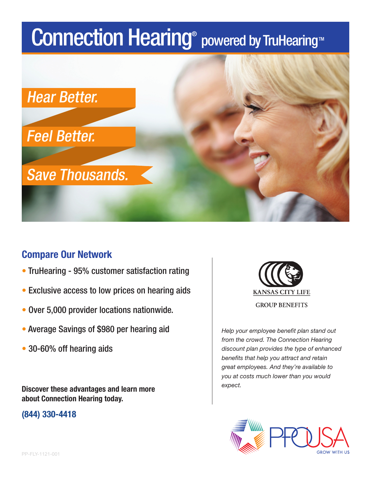# Connection Hearing<sup>®</sup> powered by TruHearing<sup>™</sup>



# Compare Our Network

- TruHearing 95% customer satisfaction rating
- Exclusive access to low prices on hearing aids
- Over 5,000 provider locations nationwide.
- Average Savings of \$980 per hearing aid
- 30-60% off hearing aids

Discover these advantages and learn more about Connection Hearing today.

# (844) 330-4418



*Help your employee benefit plan stand out from the crowd. The Connection Hearing discount plan provides the type of enhanced benefits that help you attract and retain great employees. And they're available to you at costs much lower than you would expect.*